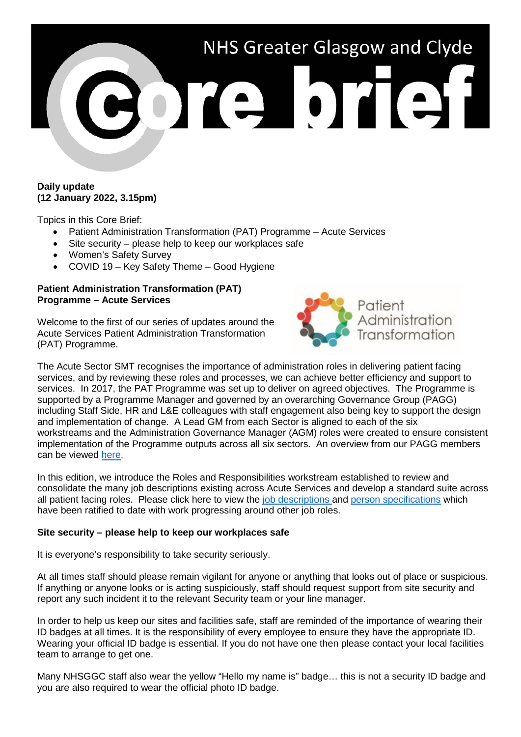

# **Daily update (12 January 2022, 3.15pm)**

Topics in this Core Brief:

- Patient Administration Transformation (PAT) Programme Acute Services
- Site security please help to keep our workplaces safe
- Women's Safety Survey
- COVID 19 Key Safety Theme Good Hygiene

## **Patient Administration Transformation (PAT) Programme – Acute Services**

Welcome to the first of our series of updates around the Acute Services Patient Administration Transformation (PAT) Programme.



The Acute Sector SMT recognises the importance of administration roles in delivering patient facing services, and by reviewing these roles and processes, we can achieve better efficiency and support to services. In 2017, the PAT Programme was set up to deliver on agreed objectives. The Programme is supported by a Programme Manager and governed by an overarching Governance Group (PAGG) including Staff Side, HR and L&E colleagues with staff engagement also being key to support the design and implementation of change. A Lead GM from each Sector is aligned to each of the six workstreams and the Administration Governance Manager (AGM) roles were created to ensure consistent implementation of the Programme outputs across all six sectors. An overview from our PAGG members can be viewed [here.](https://www.youtube.com/playlist?list=PLuRwk1NAWu30vhc6BLEq9Z4YUqLU_3l5c)

In this edition, we introduce the Roles and Responsibilities workstream established to review and consolidate the many job descriptions existing across Acute Services and develop a standard suite across all patient facing roles. Please click here to view the [job descriptions](https://scottish.sharepoint.com/:f:/s/GGC-PatientAdministrationTransformationProgramme/EuvuwyCyxtdEu8bN9LTioDUB37vd1VlqVU8ntpPkHarnfA?e=lEry2W) and [person specifications](https://scottish.sharepoint.com/:f:/s/GGC-PatientAdministrationTransformationProgramme/Euqu1NQfQsxMhlKQhrfcPgQBNDxUkB4IGaxyGpKZNaw6nQ?e=0MlIOt) which have been ratified to date with work progressing around other job roles.

# **Site security – please help to keep our workplaces safe**

It is everyone's responsibility to take security seriously.

At all times staff should please remain vigilant for anyone or anything that looks out of place or suspicious. If anything or anyone looks or is acting suspiciously, staff should request support from site security and report any such incident it to the relevant Security team or your line manager.

In order to help us keep our sites and facilities safe, staff are reminded of the importance of wearing their ID badges at all times. It is the responsibility of every employee to ensure they have the appropriate ID. Wearing your official ID badge is essential. If you do not have one then please contact your local facilities team to arrange to get one.

Many NHSGGC staff also wear the yellow "Hello my name is" badge… this is not a security ID badge and you are also required to wear the official photo ID badge.